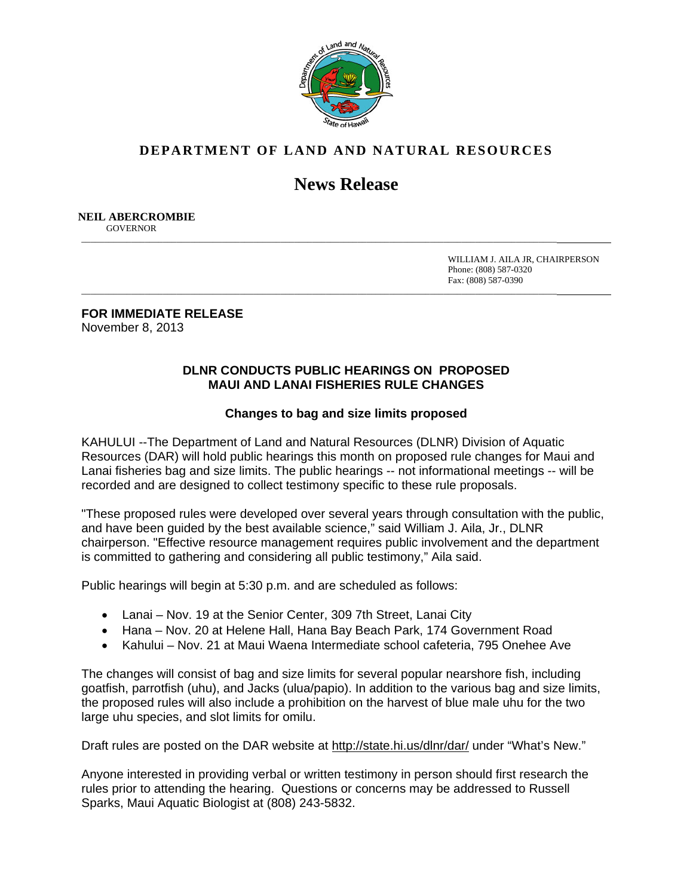

## **DEPARTMENT OF LAND AND NATURAL RESOURCES**

## **News Release**

\_\_\_\_\_\_\_\_\_\_\_\_\_\_\_\_\_\_\_\_\_\_\_\_\_\_\_\_\_\_\_\_\_\_\_\_\_\_\_\_\_\_\_\_\_\_\_\_\_\_\_\_\_\_\_\_\_\_\_\_\_\_\_\_\_\_\_\_\_\_\_\_\_\_\_\_\_\_\_\_\_\_\_\_\_\_\_\_\_\_\_\_\_\_\_\_\_\_\_\_\_\_\_\_\_

\_\_\_\_\_\_\_\_\_\_\_\_\_\_\_\_\_\_\_\_\_\_\_\_\_\_\_\_\_\_\_\_\_\_\_\_\_\_\_\_\_\_\_\_\_\_\_\_\_\_\_\_\_\_\_\_\_\_\_\_\_\_\_\_\_\_\_\_\_\_\_\_\_\_\_\_\_\_\_\_\_\_\_\_\_\_\_\_\_\_\_\_\_\_\_\_\_\_\_\_\_\_\_\_\_

 **NEIL ABERCROMBIE GOVERNOR** 

> WILLIAM J. AILA JR, CHAIRPERSON Phone: (808) 587-0320 Fax: (808) 587-0390

**FOR IMMEDIATE RELEASE**  November 8, 2013

## **DLNR CONDUCTS PUBLIC HEARINGS ON PROPOSED MAUI AND LANAI FISHERIES RULE CHANGES**

## **Changes to bag and size limits proposed**

KAHULUI --The Department of Land and Natural Resources (DLNR) Division of Aquatic Resources (DAR) will hold public hearings this month on proposed rule changes for Maui and Lanai fisheries bag and size limits. The public hearings -- not informational meetings -- will be recorded and are designed to collect testimony specific to these rule proposals.

"These proposed rules were developed over several years through consultation with the public, and have been guided by the best available science," said William J. Aila, Jr., DLNR chairperson. "Effective resource management requires public involvement and the department is committed to gathering and considering all public testimony," Aila said.

Public hearings will begin at 5:30 p.m. and are scheduled as follows:

- Lanai Nov. 19 at the Senior Center, 309 7th Street, Lanai City
- Hana Nov. 20 at Helene Hall, Hana Bay Beach Park, 174 Government Road
- Kahului Nov. 21 at Maui Waena Intermediate school cafeteria, 795 Onehee Ave

The changes will consist of bag and size limits for several popular nearshore fish, including goatfish, parrotfish (uhu), and Jacks (ulua/papio). In addition to the various bag and size limits, the proposed rules will also include a prohibition on the harvest of blue male uhu for the two large uhu species, and slot limits for omilu.

Draft rules are posted on the DAR website at http://state.hi.us/dlnr/dar/ under "What's New."

Anyone interested in providing verbal or written testimony in person should first research the rules prior to attending the hearing. Questions or concerns may be addressed to Russell Sparks, Maui Aquatic Biologist at (808) 243-5832.